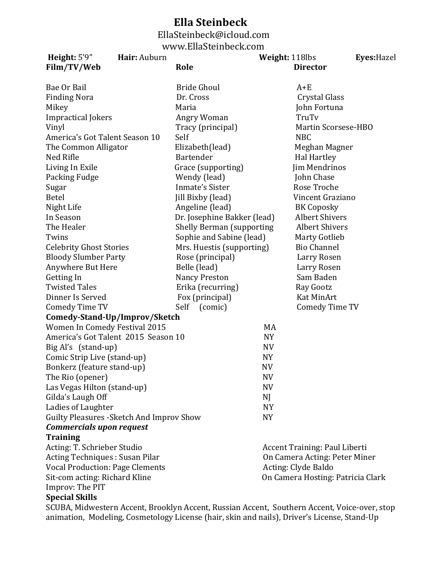## **Ella Steinbeck**

## EllaSteinbeck@icloud.com www.EllaSteinbeck.com

| Height: 5'9"                              | Hair: Auburn | Weight: 118lbs<br>Eyes:Hazel     |                               |                                   |  |  |
|-------------------------------------------|--------------|----------------------------------|-------------------------------|-----------------------------------|--|--|
| Film/TV/Web                               |              | Role                             |                               | <b>Director</b>                   |  |  |
| Bae Or Bail                               |              | <b>Bride Ghoul</b>               |                               | $A+E$                             |  |  |
| <b>Finding Nora</b>                       |              | Dr. Cross                        |                               | Crystal Glass                     |  |  |
| Mikey                                     |              | Maria                            |                               | John Fortuna                      |  |  |
| <b>Impractical Jokers</b>                 |              | Angry Woman                      |                               | TruTv                             |  |  |
| Vinyl                                     |              | Tracy (principal)                |                               | Martin Scorsese-HBO               |  |  |
| America's Got Talent Season 10            |              | Self                             |                               | <b>NBC</b>                        |  |  |
| The Common Alligator                      |              | Elizabeth(lead)                  |                               | Meghan Magner                     |  |  |
| Ned Rifle                                 |              | Bartender                        |                               | Hal Hartley                       |  |  |
| Living In Exile                           |              | Grace (supporting)               |                               | Jim Mendrinos                     |  |  |
| Packing Fudge                             |              | Wendy (lead)                     |                               | John Chase                        |  |  |
| Sugar                                     |              | Inmate's Sister                  |                               | Rose Troche                       |  |  |
| <b>Betel</b>                              |              | Jill Bixby (lead)                |                               | Vincent Graziano                  |  |  |
| Night Life                                |              | Angeline (lead)                  |                               | <b>BK Coposky</b>                 |  |  |
| In Season                                 |              | Dr. Josephine Bakker (lead)      |                               | <b>Albert Shivers</b>             |  |  |
| The Healer                                |              | <b>Shelly Berman (supporting</b> |                               | <b>Albert Shivers</b>             |  |  |
| Twins                                     |              | Sophie and Sabine (lead)         |                               | Marty Gotlieb                     |  |  |
| <b>Celebrity Ghost Stories</b>            |              | Mrs. Huestis (supporting)        |                               | <b>Bio Channel</b>                |  |  |
| <b>Bloody Slumber Party</b>               |              | Rose (principal)                 |                               | Larry Rosen                       |  |  |
| Anywhere But Here                         |              | Belle (lead)                     |                               | Larry Rosen                       |  |  |
| Getting In                                |              | <b>Nancy Preston</b>             |                               | Sam Baden                         |  |  |
| <b>Twisted Tales</b>                      |              | Erika (recurring)                |                               | Ray Gootz                         |  |  |
| Dinner Is Served                          |              | Fox (principal)                  |                               | Kat MinArt                        |  |  |
| <b>Comedy Time TV</b>                     |              | Self<br>(comic)                  |                               | <b>Comedy Time TV</b>             |  |  |
| Comedy-Stand-Up/Improv/Sketch             |              |                                  |                               |                                   |  |  |
| Women In Comedy Festival 2015             |              |                                  | MA                            |                                   |  |  |
| America's Got Talent 2015 Season 10       |              |                                  | <b>NY</b>                     |                                   |  |  |
| Big Al's (stand-up)                       |              |                                  | <b>NV</b>                     |                                   |  |  |
| Comic Strip Live (stand-up)               |              |                                  | NY                            |                                   |  |  |
| Bonkerz (feature stand-up)                |              |                                  | <b>NV</b>                     |                                   |  |  |
| The Rio (opener)                          |              |                                  | <b>NV</b>                     |                                   |  |  |
| Las Vegas Hilton (stand-up)               |              |                                  | <b>NV</b>                     |                                   |  |  |
| Gilda's Laugh Off                         |              |                                  | NJ                            |                                   |  |  |
| Ladies of Laughter                        |              |                                  | <b>NY</b>                     |                                   |  |  |
| Guilty Pleasures - Sketch And Improv Show |              |                                  | <b>NY</b>                     |                                   |  |  |
| Commercials upon request                  |              |                                  |                               |                                   |  |  |
| <b>Training</b>                           |              |                                  |                               |                                   |  |  |
| Acting: T. Schrieber Studio               |              |                                  |                               | Accent Training: Paul Liberti     |  |  |
| <b>Acting Techniques: Susan Pilar</b>     |              |                                  | On Camera Acting: Peter Miner |                                   |  |  |
| <b>Vocal Production: Page Clements</b>    |              |                                  |                               | Acting: Clyde Baldo               |  |  |
| Sit-com acting: Richard Kline             |              |                                  |                               | On Camera Hosting: Patricia Clark |  |  |
| Improv: The PIT                           |              |                                  |                               |                                   |  |  |
| <b>Special Skills</b>                     |              |                                  |                               |                                   |  |  |
|                                           |              |                                  |                               |                                   |  |  |

SCUBA, Midwestern Accent, Brooklyn Accent, Russian Accent, Southern Accent, Voice-over, stop animation, Modeling, Cosmetology License (hair, skin and nails), Driver's License, Stand-Up